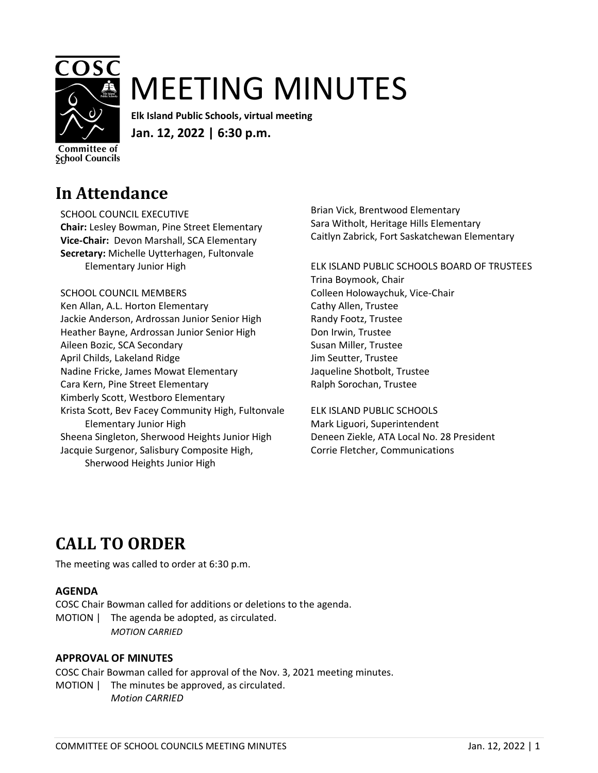

# MEETING MINUTES

**Elk Island Public Schools, virtual meeting Jan. 12, 2022 | 6:30 p.m.** 

**Committee of School Councils** 

### **In Attendance**

SCHOOL COUNCIL EXECUTIVE **Chair:** Lesley Bowman, Pine Street Elementary

**Vice-Chair:** Devon Marshall, SCA Elementary **Secretary:** Michelle Uytterhagen, Fultonvale Elementary Junior High

SCHOOL COUNCIL MEMBERS Ken Allan, A.L. Horton Elementary

Jackie Anderson, Ardrossan Junior Senior High Heather Bayne, Ardrossan Junior Senior High Aileen Bozic, SCA Secondary April Childs, Lakeland Ridge Nadine Fricke, James Mowat Elementary Cara Kern, Pine Street Elementary Kimberly Scott, Westboro Elementary Krista Scott, Bev Facey Community High, Fultonvale Elementary Junior High Sheena Singleton, Sherwood Heights Junior High Jacquie Surgenor, Salisbury Composite High, Sherwood Heights Junior High

Brian Vick, Brentwood Elementary Sara Witholt, Heritage Hills Elementary Caitlyn Zabrick, Fort Saskatchewan Elementary

ELK ISLAND PUBLIC SCHOOLS BOARD OF TRUSTEES Trina Boymook, Chair Colleen Holowaychuk, Vice-Chair Cathy Allen, Trustee Randy Footz, Trustee Don Irwin, Trustee Susan Miller, Trustee Jim Seutter, Trustee Jaqueline Shotbolt, Trustee Ralph Sorochan, Trustee

ELK ISLAND PUBLIC SCHOOLS Mark Liguori, Superintendent Deneen Ziekle, ATA Local No. 28 President Corrie Fletcher, Communications

## **CALL TO ORDER**

The meeting was called to order at 6:30 p.m.

### **AGENDA**

COSC Chair Bowman called for additions or deletions to the agenda. MOTION | The agenda be adopted, as circulated. *MOTION CARRIED*

### **APPROVAL OF MINUTES**

COSC Chair Bowman called for approval of the Nov. 3, 2021 meeting minutes. MOTION | The minutes be approved, as circulated. *Motion CARRIED*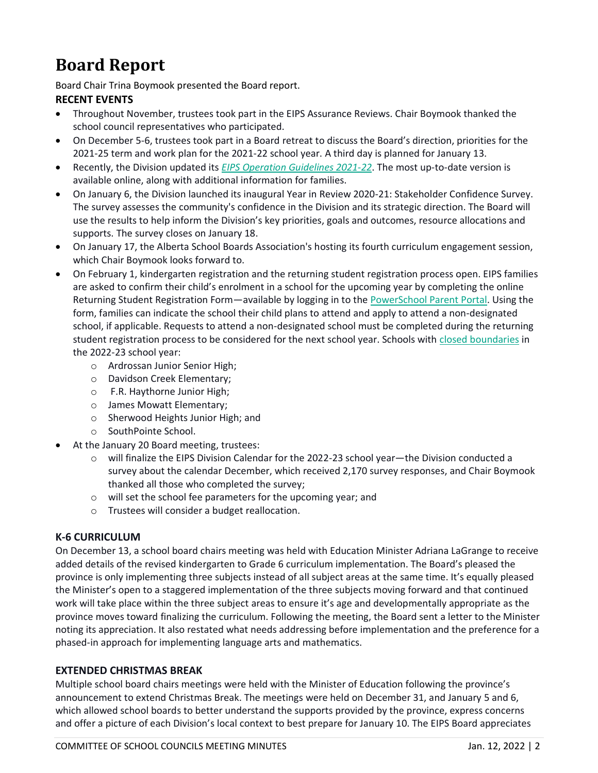### **Board Report**

Board Chair Trina Boymook presented the Board report. **RECENT EVENTS**

- Throughout November, trustees took part in the EIPS Assurance Reviews. Chair Boymook thanked the school council representatives who participated.
- On December 5-6, trustees took part in a Board retreat to discuss the Board's direction, priorities for the 2021-25 term and work plan for the 2021-22 school year. A third day is planned for January 13.
- Recently, the Division updated its *[EIPS Operation Guidelines 2021-22](https://www.eips.ca/school-operations-2021-22)*. The most up-to-date version is available online, along with additional information for families.
- On January 6, the Division launched its inaugural Year in Review 2020-21: Stakeholder Confidence Survey. The survey assesses the community's confidence in the Division and its strategic direction. The Board will use the results to help inform the Division's key priorities, goals and outcomes, resource allocations and supports. The survey closes on January 18.
- On January 17, the Alberta School Boards Association's hosting its fourth curriculum engagement session, which Chair Boymook looks forward to.
- On February 1, kindergarten registration and the returning student registration process open. EIPS families are asked to confirm their child's enrolment in a school for the upcoming year by completing the online Returning Student Registration Form—available by logging in to the [PowerSchool Parent Portal.](https://powerschool.eips.ca/public/home.html) Using the form, families can indicate the school their child plans to attend and apply to attend a non-designated school, if applicable. Requests to attend a non-designated school must be completed during the returning student registration process to be considered for the next school year. Schools with [closed boundaries](https://www.eips.ca/registration/applying-to-a-non-designated-school#ClosedBoundaries) in the 2022-23 school year:
	- o Ardrossan Junior Senior High;
	- o Davidson Creek Elementary;
	- o F.R. Haythorne Junior High;
	- o James Mowatt Elementary;
	- o Sherwood Heights Junior High; and
	- o SouthPointe School.
- At the January 20 Board meeting, trustees:
	- o will finalize the EIPS Division Calendar for the 2022-23 school year—the Division conducted a survey about the calendar December, which received 2,170 survey responses, and Chair Boymook thanked all those who completed the survey;
	- o will set the school fee parameters for the upcoming year; and
	- o Trustees will consider a budget reallocation.

### **K-6 CURRICULUM**

On December 13, a school board chairs meeting was held with Education Minister Adriana LaGrange to receive added details of the revised kindergarten to Grade 6 curriculum implementation. The Board's pleased the province is only implementing three subjects instead of all subject areas at the same time. It's equally pleased the Minister's open to a staggered implementation of the three subjects moving forward and that continued work will take place within the three subject areas to ensure it's age and developmentally appropriate as the province moves toward finalizing the curriculum. Following the meeting, the Board sent a letter to the Minister noting its appreciation. It also restated what needs addressing before implementation and the preference for a phased-in approach for implementing language arts and mathematics.

#### **EXTENDED CHRISTMAS BREAK**

Multiple school board chairs meetings were held with the Minister of Education following the province's announcement to extend Christmas Break. The meetings were held on December 31, and January 5 and 6, which allowed school boards to better understand the supports provided by the province, express concerns and offer a picture of each Division's local context to best prepare for January 10. The EIPS Board appreciates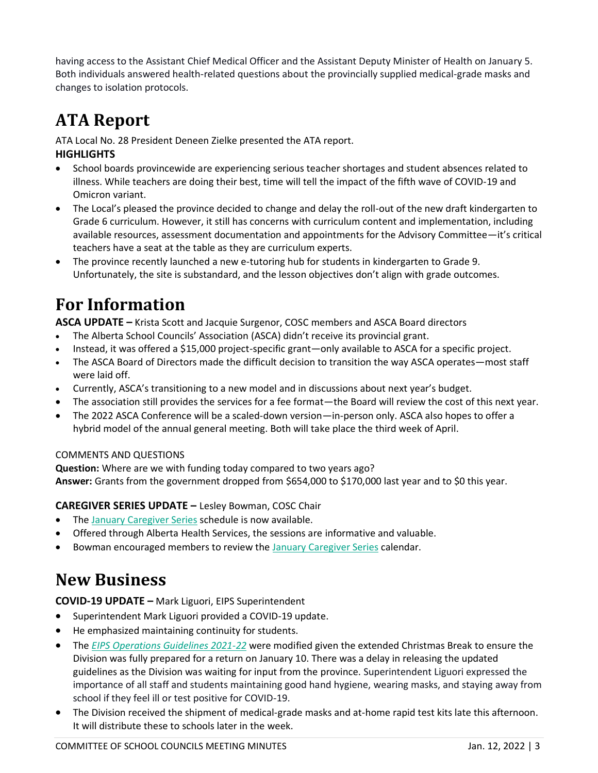having access to the Assistant Chief Medical Officer and the Assistant Deputy Minister of Health on January 5. Both individuals answered health-related questions about the provincially supplied medical-grade masks and changes to isolation protocols.

### **ATA Report**

ATA Local No. 28 President Deneen Zielke presented the ATA report. **HIGHLIGHTS**

- School boards provincewide are experiencing serious teacher shortages and student absences related to illness. While teachers are doing their best, time will tell the impact of the fifth wave of COVID-19 and Omicron variant.
- The Local's pleased the province decided to change and delay the roll-out of the new draft kindergarten to Grade 6 curriculum. However, it still has concerns with curriculum content and implementation, including available resources, assessment documentation and appointments for the Advisory Committee—it's critical teachers have a seat at the table as they are curriculum experts.
- The province recently launched a new e-tutoring hub for students in kindergarten to Grade 9. Unfortunately, the site is substandard, and the lesson objectives don't align with grade outcomes.

# **For Information**

**ASCA UPDATE –** Krista Scott and Jacquie Surgenor, COSC members and ASCA Board directors

- The Alberta School Councils' Association (ASCA) didn't receive its provincial grant.
- Instead, it was offered a \$15,000 project-specific grant—only available to ASCA for a specific project.
- The ASCA Board of Directors made the difficult decision to transition the way ASCA operates—most staff were laid off.
- Currently, ASCA's transitioning to a new model and in discussions about next year's budget.
- The association still provides the services for a fee format—the Board will review the cost of this next year.
- The 2022 ASCA Conference will be a scaled-down version—in-person only. ASCA also hopes to offer a hybrid model of the annual general meeting. Both will take place the third week of April.

### COMMENTS AND QUESTIONS

**Question:** Where are we with funding today compared to two years ago? **Answer:** Grants from the government dropped from \$654,000 to \$170,000 last year and to \$0 this year.

### **CAREGIVER SERIES UPDATE –** Lesley Bowman, COSC Chair

- The [January Caregiver Series](https://www.cyfcaregivereducation.ca/home) schedule is now available.
- Offered through Alberta Health Services, the sessions are informative and valuable.
- Bowman encouraged members to review the January [Caregiver Series](https://www.cyfcaregivereducation.ca/home) calendar.

## **New Business**

**COVID-19 UPDATE –** Mark Liguori, EIPS Superintendent

- Superintendent Mark Liguori provided a COVID-19 update.
- He emphasized maintaining continuity for students.
- The *[EIPS Operations Guidelines 2021-22](https://www.eips.ca/school-operations-2021-22)* were modified given the extended Christmas Break to ensure the Division was fully prepared for a return on January 10. There was a delay in releasing the updated guidelines as the Division was waiting for input from the province. Superintendent Liguori expressed the importance of all staff and students maintaining good hand hygiene, wearing masks, and staying away from school if they feel ill or test positive for COVID-19.
- The Division received the shipment of medical-grade masks and at-home rapid test kits late this afternoon. It will distribute these to schools later in the week.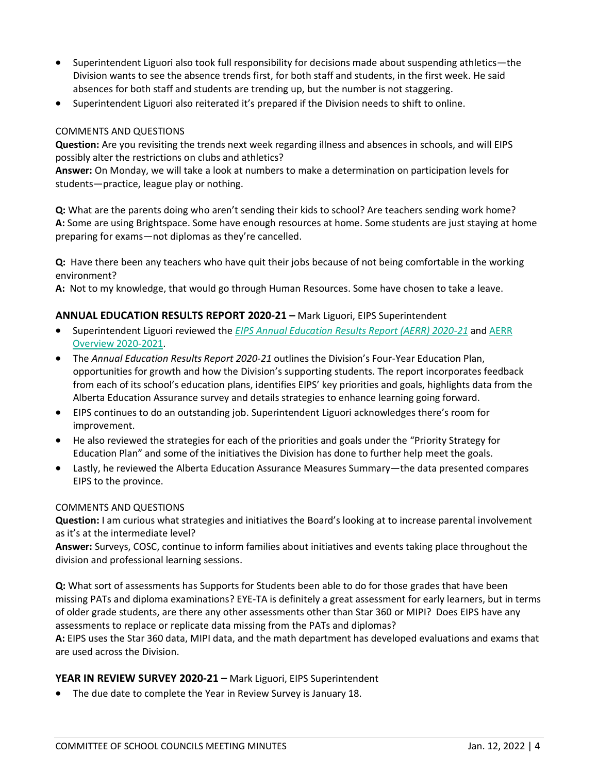- Superintendent Liguori also took full responsibility for decisions made about suspending athletics—the Division wants to see the absence trends first, for both staff and students, in the first week. He said absences for both staff and students are trending up, but the number is not staggering.
- Superintendent Liguori also reiterated it's prepared if the Division needs to shift to online.

#### COMMENTS AND QUESTIONS

**Question:** Are you revisiting the trends next week regarding illness and absences in schools, and will EIPS possibly alter the restrictions on clubs and athletics?

**Answer:** On Monday, we will take a look at numbers to make a determination on participation levels for students—practice, league play or nothing.

**Q:** What are the parents doing who aren't sending their kids to school? Are teachers sending work home? **A:** Some are using Brightspace. Some have enough resources at home. Some students are just staying at home preparing for exams—not diplomas as they're cancelled.

**Q:** Have there been any teachers who have quit their jobs because of not being comfortable in the working environment?

**A:** Not to my knowledge, that would go through Human Resources. Some have chosen to take a leave.

#### **ANNUAL EDUCATION RESULTS REPORT 2020-21 –** Mark Liguori, EIPS Superintendent

- Superintendent Liguori reviewed the *[EIPS Annual Education Results Report \(AERR\) 2020-21](http://www.eips.ca/download/374118)* and [AERR](http://www.eips.ca/download/374121)  [Overview 2020-2021.](http://www.eips.ca/download/374121)
- The *Annual Education Results Report 2020-21* outlines the Division's Four-Year Education Plan, opportunities for growth and how the Division's supporting students. The report incorporates feedback from each of its school's education plans, identifies EIPS' key priorities and goals, highlights data from the Alberta Education Assurance survey and details strategies to enhance learning going forward.
- EIPS continues to do an outstanding job. Superintendent Liguori acknowledges there's room for improvement.
- He also reviewed the strategies for each of the priorities and goals under the "Priority Strategy for Education Plan" and some of the initiatives the Division has done to further help meet the goals.
- Lastly, he reviewed the Alberta Education Assurance Measures Summary—the data presented compares EIPS to the province.

#### COMMENTS AND QUESTIONS

**Question:** I am curious what strategies and initiatives the Board's looking at to increase parental involvement as it's at the intermediate level?

**Answer:** Surveys, COSC, continue to inform families about initiatives and events taking place throughout the division and professional learning sessions.

**Q:** What sort of assessments has Supports for Students been able to do for those grades that have been missing PATs and diploma examinations? EYE-TA is definitely a great assessment for early learners, but in terms of older grade students, are there any other assessments other than Star 360 or MIPI? Does EIPS have any assessments to replace or replicate data missing from the PATs and diplomas?

**A:** EIPS uses the Star 360 data, MIPI data, and the math department has developed evaluations and exams that are used across the Division.

#### **YEAR IN REVIEW SURVEY 2020-21 –** Mark Liguori, EIPS Superintendent

• The due date to complete the Year in Review Survey is January 18.